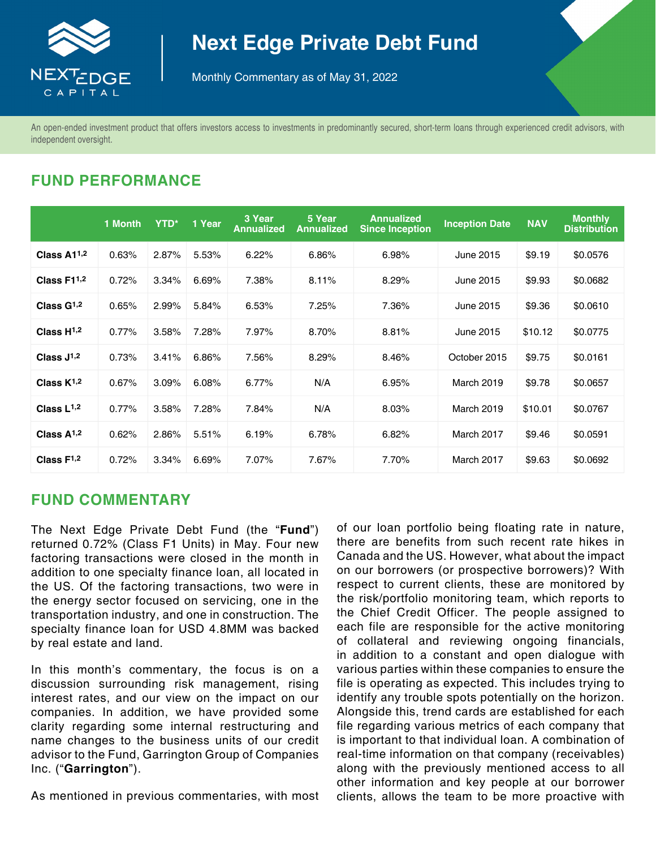

# **Next Edge Private Debt Fund**

Monthly Commentary as of May 31, 2022

An open-ended investment product that offers investors access to investments in predominantly secured, short-term loans through experienced credit advisors, with independent oversight.

## **FUND PERFORMANCE**

|                 | 1 Month | YTD*  | 1 Year | 3 Year<br><b>Annualized</b> | 5 Year<br><b>Annualized</b> | <b>Annualized</b><br><b>Since Inception</b> | <b>Inception Date</b> | <b>NAV</b> | <b>Monthly</b><br><b>Distribution</b> |
|-----------------|---------|-------|--------|-----------------------------|-----------------------------|---------------------------------------------|-----------------------|------------|---------------------------------------|
| Class $A11,2$   | 0.63%   | 2.87% | 5.53%  | 6.22%                       | 6.86%                       | 6.98%                                       | June 2015             | \$9.19     | \$0.0576                              |
| Class F11,2     | 0.72%   | 3.34% | 6.69%  | 7.38%                       | 8.11%                       | 8.29%                                       | June 2015             | \$9.93     | \$0.0682                              |
| Class $G1,2$    | 0.65%   | 2.99% | 5.84%  | 6.53%                       | 7.25%                       | 7.36%                                       | June 2015             | \$9.36     | \$0.0610                              |
| Class $H^{1,2}$ | 0.77%   | 3.58% | 7.28%  | 7.97%                       | 8.70%                       | 8.81%                                       | June 2015             | \$10.12    | \$0.0775                              |
| Class $J^{1,2}$ | 0.73%   | 3.41% | 6.86%  | 7.56%                       | 8.29%                       | 8.46%                                       | October 2015          | \$9.75     | \$0.0161                              |
| Class $K^{1,2}$ | 0.67%   | 3.09% | 6.08%  | 6.77%                       | N/A                         | 6.95%                                       | <b>March 2019</b>     | \$9.78     | \$0.0657                              |
| Class $L^{1,2}$ | 0.77%   | 3.58% | 7.28%  | 7.84%                       | N/A                         | 8.03%                                       | March 2019            | \$10.01    | \$0.0767                              |
| Class $A^{1,2}$ | 0.62%   | 2.86% | 5.51%  | 6.19%                       | 6.78%                       | 6.82%                                       | March 2017            | \$9.46     | \$0.0591                              |
| Class $F^{1,2}$ | 0.72%   | 3.34% | 6.69%  | 7.07%                       | 7.67%                       | 7.70%                                       | March 2017            | \$9.63     | \$0.0692                              |

## **FUND COMMENTARY**

The Next Edge Private Debt Fund (the "**Fund**") returned 0.72% (Class F1 Units) in May. Four new factoring transactions were closed in the month in addition to one specialty finance loan, all located in the US. Of the factoring transactions, two were in the energy sector focused on servicing, one in the transportation industry, and one in construction. The specialty finance loan for USD 4.8MM was backed by real estate and land.

In this month's commentary, the focus is on a discussion surrounding risk management, rising interest rates, and our view on the impact on our companies. In addition, we have provided some clarity regarding some internal restructuring and name changes to the business units of our credit advisor to the Fund, Garrington Group of Companies Inc. ("**Garrington**").

As mentioned in previous commentaries, with most

of our loan portfolio being floating rate in nature, there are benefits from such recent rate hikes in Canada and the US. However, what about the impact on our borrowers (or prospective borrowers)? With respect to current clients, these are monitored by the risk/portfolio monitoring team, which reports to the Chief Credit Officer. The people assigned to each file are responsible for the active monitoring of collateral and reviewing ongoing financials, in addition to a constant and open dialogue with various parties within these companies to ensure the file is operating as expected. This includes trying to identify any trouble spots potentially on the horizon. Alongside this, trend cards are established for each file regarding various metrics of each company that is important to that individual loan. A combination of real-time information on that company (receivables) along with the previously mentioned access to all other information and key people at our borrower clients, allows the team to be more proactive with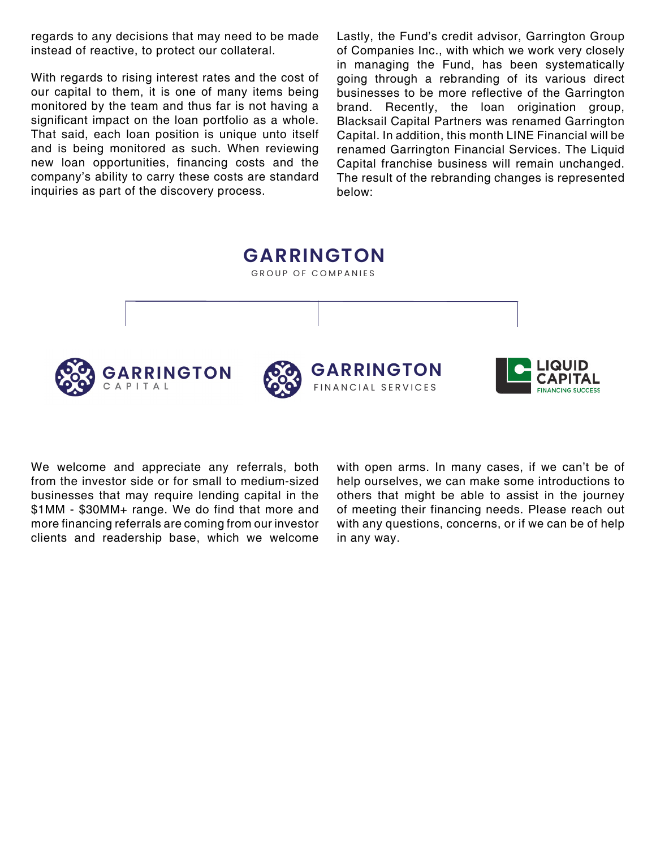regards to any decisions that may need to be made instead of reactive, to protect our collateral.

With regards to rising interest rates and the cost of our capital to them, it is one of many items being monitored by the team and thus far is not having a significant impact on the loan portfolio as a whole. That said, each loan position is unique unto itself and is being monitored as such. When reviewing new loan opportunities, financing costs and the company's ability to carry these costs are standard inquiries as part of the discovery process.

Lastly, the Fund's credit advisor, Garrington Group of Companies Inc., with which we work very closely in managing the Fund, has been systematically going through a rebranding of its various direct businesses to be more reflective of the Garrington brand. Recently, the loan origination group, Blacksail Capital Partners was renamed Garrington Capital. In addition, this month LINE Financial will be renamed Garrington Financial Services. The Liquid Capital franchise business will remain unchanged. The result of the rebranding changes is represented below:

GROUP OF COMPANIES **GARRINGTONGARRINGTON** CAPITAL FINANCIAL SERVICES

**GARRINGTON**

We welcome and appreciate any referrals, both from the investor side or for small to medium-sized businesses that may require lending capital in the \$1MM - \$30MM+ range. We do find that more and more financing referrals are coming from our investor clients and readership base, which we welcome

with open arms. In many cases, if we can't be of help ourselves, we can make some introductions to others that might be able to assist in the journey of meeting their financing needs. Please reach out with any questions, concerns, or if we can be of help in any way.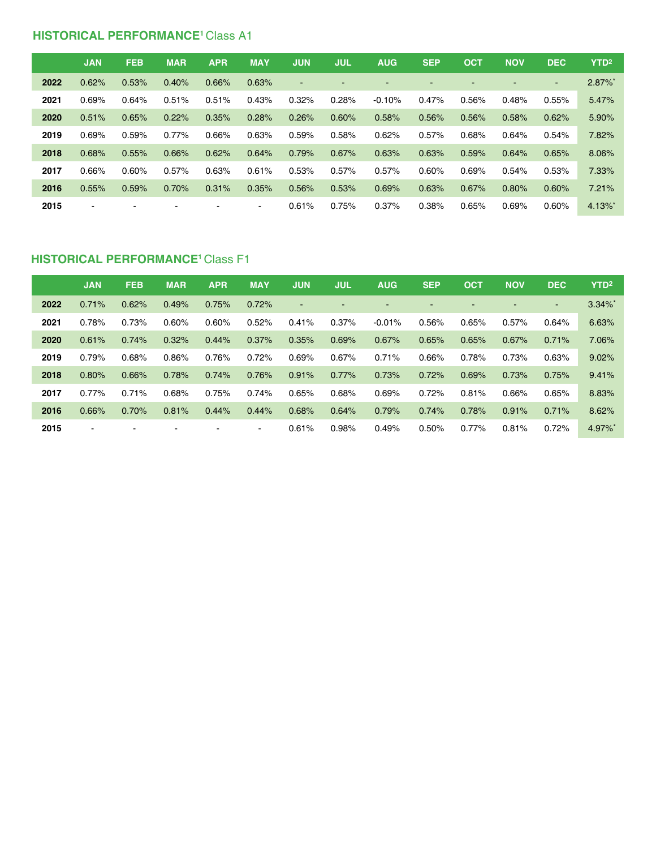#### **HISTORICAL PERFORMANCE<sup>1</sup> Class A1**

|      | <b>JAN</b>     | <b>FEB</b> | <b>MAR</b> | <b>APR</b> | <b>MAY</b>     | <b>JUN</b>     | <b>JUL</b> | <b>AUG</b> | <b>SEP</b>               | <b>OCT</b> | <b>NOV</b> | <b>DEC</b> | YTD <sup>2</sup>      |
|------|----------------|------------|------------|------------|----------------|----------------|------------|------------|--------------------------|------------|------------|------------|-----------------------|
| 2022 | 0.62%          | 0.53%      | 0.40%      | 0.66%      | 0.63%          | $\blacksquare$ |            |            | $\overline{\phantom{0}}$ |            | -          | $\sim$     | $2.87\%$ *            |
| 2021 | 0.69%          | 0.64%      | 0.51%      | 0.51%      | 0.43%          | 0.32%          | 0.28%      | $-0.10%$   | $0.47\%$                 | 0.56%      | 0.48%      | 0.55%      | 5.47%                 |
| 2020 | 0.51%          | 0.65%      | 0.22%      | 0.35%      | 0.28%          | 0.26%          | 0.60%      | 0.58%      | 0.56%                    | 0.56%      | 0.58%      | 0.62%      | 5.90%                 |
| 2019 | 0.69%          | 0.59%      | 0.77%      | 0.66%      | 0.63%          | 0.59%          | 0.58%      | 0.62%      | 0.57%                    | 0.68%      | 0.64%      | 0.54%      | 7.82%                 |
| 2018 | 0.68%          | 0.55%      | 0.66%      | 0.62%      | 0.64%          | 0.79%          | 0.67%      | 0.63%      | 0.63%                    | 0.59%      | 0.64%      | 0.65%      | 8.06%                 |
| 2017 | 0.66%          | 0.60%      | 0.57%      | 0.63%      | 0.61%          | 0.53%          | 0.57%      | 0.57%      | $0.60\%$                 | 0.69%      | 0.54%      | 0.53%      | 7.33%                 |
| 2016 | 0.55%          | 0.59%      | 0.70%      | 0.31%      | 0.35%          | 0.56%          | 0.53%      | 0.69%      | 0.63%                    | 0.67%      | 0.80%      | 0.60%      | 7.21%                 |
| 2015 | $\blacksquare$ |            |            |            | $\blacksquare$ | 0.61%          | 0.75%      | 0.37%      | 0.38%                    | 0.65%      | 0.69%      | 0.60%      | $4.13\%$ <sup>*</sup> |

#### **HISTORICAL PERFORMANCE1** Class F1

|      | <b>JAN</b>     | <b>FEB</b>               | <b>MAR</b>     | <b>APR</b> | <b>MAY</b>     | <b>JUN</b> | <b>JUL</b> | <b>AUG</b> | <b>SEP</b> | <b>OCT</b> | <b>NOV</b>               | <b>DEC</b>     | YTD <sup>2</sup>      |
|------|----------------|--------------------------|----------------|------------|----------------|------------|------------|------------|------------|------------|--------------------------|----------------|-----------------------|
| 2022 | 0.71%          | 0.62%                    | 0.49%          | 0.75%      | 0.72%          | $\sim$     |            |            | н.         |            | $\overline{\phantom{0}}$ | $\blacksquare$ | $3.34\%$ *            |
| 2021 | 0.78%          | 0.73%                    | 0.60%          | 0.60%      | 0.52%          | 0.41%      | 0.37%      | $-0.01%$   | 0.56%      | 0.65%      | 0.57%                    | 0.64%          | 6.63%                 |
| 2020 | 0.61%          | 0.74%                    | 0.32%          | 0.44%      | 0.37%          | 0.35%      | 0.69%      | 0.67%      | 0.65%      | 0.65%      | 0.67%                    | 0.71%          | 7.06%                 |
| 2019 | 0.79%          | 0.68%                    | 0.86%          | 0.76%      | 0.72%          | 0.69%      | 0.67%      | 0.71%      | 0.66%      | 0.78%      | 0.73%                    | 0.63%          | 9.02%                 |
| 2018 | 0.80%          | 0.66%                    | 0.78%          | 0.74%      | 0.76%          | 0.91%      | 0.77%      | 0.73%      | 0.72%      | 0.69%      | 0.73%                    | 0.75%          | 9.41%                 |
| 2017 | $0.77\%$       | 0.71%                    | 0.68%          | 0.75%      | 0.74%          | 0.65%      | 0.68%      | 0.69%      | 0.72%      | 0.81%      | 0.66%                    | 0.65%          | 8.83%                 |
| 2016 | 0.66%          | 0.70%                    | 0.81%          | 0.44%      | 0.44%          | 0.68%      | 0.64%      | 0.79%      | 0.74%      | 0.78%      | 0.91%                    | 0.71%          | 8.62%                 |
| 2015 | $\blacksquare$ | $\overline{\phantom{0}}$ | $\blacksquare$ |            | $\blacksquare$ | 0.61%      | 0.98%      | 0.49%      | 0.50%      | 0.77%      | 0.81%                    | 0.72%          | $4.97\%$ <sup>*</sup> |